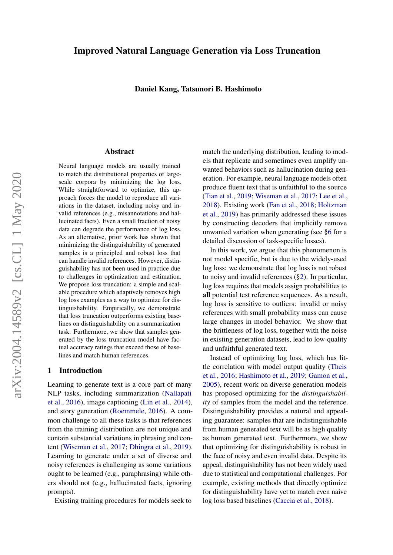# Improved Natural Language Generation via Loss Truncation

#### Daniel Kang, Tatsunori B. Hashimoto

#### Abstract

Neural language models are usually trained to match the distributional properties of largescale corpora by minimizing the log loss. While straightforward to optimize, this approach forces the model to reproduce all variations in the dataset, including noisy and invalid references (e.g., misannotations and hallucinated facts). Even a small fraction of noisy data can degrade the performance of log loss. As an alternative, prior work has shown that minimizing the distinguishability of generated samples is a principled and robust loss that can handle invalid references. However, distinguishability has not been used in practice due to challenges in optimization and estimation. We propose loss truncation: a simple and scalable procedure which adaptively removes high log loss examples as a way to optimize for distinguishability. Empirically, we demonstrate that loss truncation outperforms existing baselines on distinguishability on a summarization task. Furthermore, we show that samples generated by the loss truncation model have factual accuracy ratings that exceed those of baselines and match human references.

# 1 Introduction

Learning to generate text is a core part of many NLP tasks, including summarization [\(Nallapati](#page-10-0) [et al.,](#page-10-0) [2016\)](#page-10-0), image captioning [\(Lin et al.,](#page-10-1) [2014\)](#page-10-1), and story generation [\(Roemmele,](#page-10-2) [2016\)](#page-10-2). A common challenge to all these tasks is that references from the training distribution are not unique and contain substantial variations in phrasing and content [\(Wiseman et al.,](#page-10-3) [2017;](#page-10-3) [Dhingra et al.,](#page-9-0) [2019\)](#page-9-0). Learning to generate under a set of diverse and noisy references is challenging as some variations ought to be learned (e.g., paraphrasing) while others should not (e.g., hallucinated facts, ignoring prompts).

Existing training procedures for models seek to

match the underlying distribution, leading to models that replicate and sometimes even amplify unwanted behaviors such as hallucination during generation. For example, neural language models often produce fluent text that is unfaithful to the source [\(Tian et al.,](#page-10-4) [2019;](#page-10-4) [Wiseman et al.,](#page-10-3) [2017;](#page-10-3) [Lee et al.,](#page-9-1) [2018\)](#page-9-1). Existing work [\(Fan et al.,](#page-9-2) [2018;](#page-9-2) [Holtzman](#page-9-3) [et al.,](#page-9-3) [2019\)](#page-9-3) has primarily addressed these issues by constructing decoders that implicitly remove unwanted variation when generating (see [§6](#page-7-0) for a detailed discussion of task-specific losses).

In this work, we argue that this phenomenon is not model specific, but is due to the widely-used log loss: we demonstrate that log loss is not robust to noisy and invalid references ([§2\)](#page-1-0). In particular, log loss requires that models assign probabilities to all potential test reference sequences. As a result, log loss is sensitive to outliers: invalid or noisy references with small probability mass can cause large changes in model behavior. We show that the brittleness of log loss, together with the noise in existing generation datasets, lead to low-quality and unfaithful generated text.

Instead of optimizing log loss, which has little correlation with model output quality [\(Theis](#page-10-5) [et al.,](#page-10-5) [2016;](#page-10-5) [Hashimoto et al.,](#page-9-4) [2019;](#page-9-4) [Gamon et al.,](#page-9-5) [2005\)](#page-9-5), recent work on diverse generation models has proposed optimizing for the *distinguishability* of samples from the model and the reference. Distinguishability provides a natural and appealing guarantee: samples that are indistinguishable from human generated text will be as high quality as human generated text. Furthermore, we show that optimizing for distinguishability is robust in the face of noisy and even invalid data. Despite its appeal, distinguishability has not been widely used due to statistical and computational challenges. For example, existing methods that directly optimize for distinguishability have yet to match even naive log loss based baselines [\(Caccia et al.,](#page-9-6) [2018\)](#page-9-6).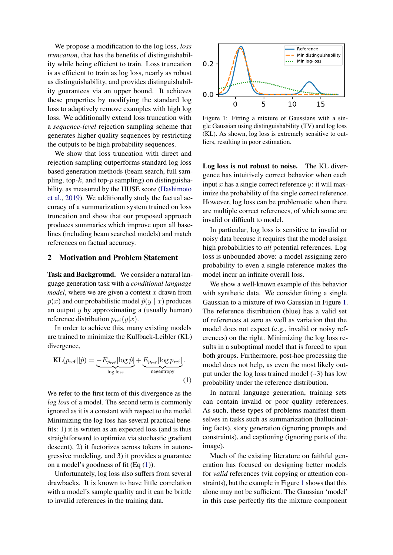We propose a modification to the log loss, *loss truncation*, that has the benefits of distinguishability while being efficient to train. Loss truncation is as efficient to train as log loss, nearly as robust as distinguishability, and provides distinguishability guarantees via an upper bound. It achieves these properties by modifying the standard log loss to adaptively remove examples with high log loss. We additionally extend loss truncation with a *sequence-level* rejection sampling scheme that generates higher quality sequences by restricting the outputs to be high probability sequences.

We show that loss truncation with direct and rejection sampling outperforms standard log loss based generation methods (beam search, full sampling, top- $k$ , and top- $p$  sampling) on distinguishability, as measured by the HUSE score [\(Hashimoto](#page-9-4) [et al.,](#page-9-4) [2019\)](#page-9-4). We additionally study the factual accuracy of a summarization system trained on loss truncation and show that our proposed approach produces summaries which improve upon all baselines (including beam searched models) and match references on factual accuracy.

### <span id="page-1-0"></span>2 Motivation and Problem Statement

Task and Background. We consider a natural language generation task with a *conditional language model*, where we are given a context  $x$  drawn from  $p(x)$  and our probabilistic model  $\hat{p}(y | x)$  produces an output  $y$  by approximating a (usually human) reference distribution  $p_{ref}(y|x)$ .

In order to achieve this, many existing models are trained to minimize the Kullback-Leibler (KL) divergence,

$$
KL(p_{ref}||\hat{p}) = \underbrace{-E_{p_{ref}}[\log \hat{p}]}_{\log \text{loss}} + \underbrace{E_{p_{ref}}[\log p_{ref}]}_{\text{negentropy}}.
$$
\n(1)

We refer to the first term of this divergence as the *log loss* of a model. The second term is commonly ignored as it is a constant with respect to the model. Minimizing the log loss has several practical benefits: 1) it is written as an expected loss (and is thus straightforward to optimize via stochastic gradient descent), 2) it factorizes across tokens in autoregressive modeling, and 3) it provides a guarantee on a model's goodness of fit  $(Eq(1))$  $(Eq(1))$  $(Eq(1))$ .

Unfortunately, log loss also suffers from several drawbacks. It is known to have little correlation with a model's sample quality and it can be brittle to invalid references in the training data.

<span id="page-1-2"></span>

Figure 1: Fitting a mixture of Gaussians with a single Gaussian using distinguishability (TV) and log loss (KL). As shown, log loss is extremely sensitive to outliers, resulting in poor estimation.

Log loss is not robust to noise. The KL divergence has intuitively correct behavior when each input x has a single correct reference y: it will maximize the probability of the single correct reference. However, log loss can be problematic when there are multiple correct references, of which some are invalid or difficult to model.

In particular, log loss is sensitive to invalid or noisy data because it requires that the model assign high probabilities to *all* potential references. Log loss is unbounded above: a model assigning zero probability to even a single reference makes the model incur an infinite overall loss.

We show a well-known example of this behavior with synthetic data. We consider fitting a single Gaussian to a mixture of two Gaussian in Figure [1.](#page-1-2) The reference distribution (blue) has a valid set of references at zero as well as variation that the model does not expect (e.g., invalid or noisy references) on the right. Minimizing the log loss results in a suboptimal model that is forced to span both groups. Furthermore, post-hoc processing the model does not help, as even the most likely output under the log loss trained model  $(-3)$  has low probability under the reference distribution.

<span id="page-1-1"></span>In natural language generation, training sets can contain invalid or poor quality references. As such, these types of problems manifest themselves in tasks such as summarization (hallucinating facts), story generation (ignoring prompts and constraints), and captioning (ignoring parts of the image).

Much of the existing literature on faithful generation has focused on designing better models for *valid* references (via copying or attention constraints), but the example in Figure [1](#page-1-2) shows that this alone may not be sufficient. The Gaussian 'model' in this case perfectly fits the mixture component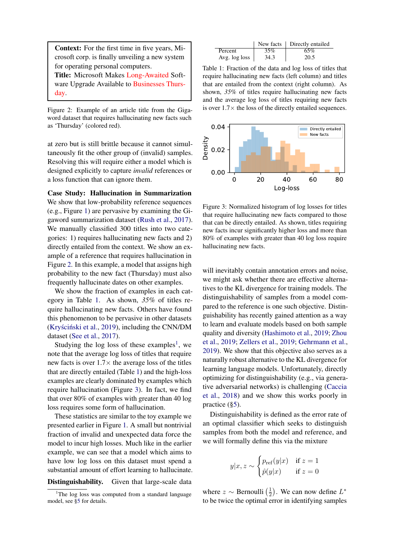<span id="page-2-0"></span>Context: For the first time in five years, Microsoft corp. is finally unveiling a new system for operating personal computers.

Title: Microsoft Makes Long-Awaited Software Upgrade Available to Businesses Thursday.

Figure 2: Example of an article title from the Gigaword dataset that requires hallucinating new facts such as 'Thursday' (colored red).

at zero but is still brittle because it cannot simultaneously fit the other group of (invalid) samples. Resolving this will require either a model which is designed explicitly to capture *invalid* references or a loss function that can ignore them.

Case Study: Hallucination in Summarization We show that low-probability reference sequences (e.g., Figure [1\)](#page-1-2) are pervasive by examining the Gigaword summarization dataset [\(Rush et al.,](#page-10-6) [2017\)](#page-10-6). We manually classified 300 titles into two categories: 1) requires hallucinating new facts and 2) directly entailed from the context. We show an example of a reference that requires hallucination in Figure [2.](#page-2-0) In this example, a model that assigns high probability to the new fact (Thursday) must also frequently hallucinate dates on other examples.

We show the fraction of examples in each category in Table [1.](#page-2-1) As shown, *35%* of titles require hallucinating new facts. Others have found this phenomenon to be pervasive in other datasets (Kryściński et al., [2019\)](#page-9-7), including the CNN/DM dataset [\(See et al.,](#page-10-7) [2017\)](#page-10-7).

Studying the log loss of these examples<sup>[1](#page-2-2)</sup>, we note that the average log loss of titles that require new facts is over  $1.7\times$  the average loss of the titles that are directly entailed (Table [1\)](#page-2-1) and the high-loss examples are clearly dominated by examples which require hallucination (Figure [3\)](#page-2-3). In fact, we find that over 80% of examples with greater than 40 log loss requires some form of hallucination.

These statistics are similar to the toy example we presented earlier in Figure [1.](#page-1-2) A small but nontrivial fraction of invalid and unexpected data force the model to incur high losses. Much like in the earlier example, we can see that a model which aims to have low log loss on this dataset must spend a substantial amount of effort learning to hallucinate.

#### Distinguishability. Given that large-scale data

<span id="page-2-1"></span>

|               |      | New facts   Directly entailed |
|---------------|------|-------------------------------|
| Percent       | 35%  | 65%                           |
| Avg. log loss | 34.3 | 20.5                          |

Table 1: Fraction of the data and log loss of titles that require hallucinating new facts (left column) and titles that are entailed from the context (right column). As shown, *35%* of titles require hallucinating new facts and the average log loss of titles requiring new facts is over  $1.7\times$  the loss of the directly entailed sequences.

<span id="page-2-3"></span>

Figure 3: Normalized histogram of log losses for titles that require hallucinating new facts compared to those that can be directly entailed. As shown, titles requiring new facts incur significantly higher loss and more than 80% of examples with greater than 40 log loss require hallucinating new facts.

will inevitably contain annotation errors and noise, we might ask whether there are effective alternatives to the KL divergence for training models. The distinguishability of samples from a model compared to the reference is one such objective. Distinguishability has recently gained attention as a way to learn and evaluate models based on both sample quality and diversity [\(Hashimoto et al.,](#page-9-4) [2019;](#page-9-4) [Zhou](#page-10-8) [et al.,](#page-10-8) [2019;](#page-10-8) [Zellers et al.,](#page-10-9) [2019;](#page-10-9) [Gehrmann et al.,](#page-9-8) [2019\)](#page-9-8). We show that this objective also serves as a naturally robust alternative to the KL divergence for learning language models. Unfortunately, directly optimizing for distinguishability (e.g., via generative adversarial networks) is challenging [\(Caccia](#page-9-6) [et al.,](#page-9-6) [2018\)](#page-9-6) and we show this works poorly in practice ([§5\)](#page-5-0).

Distinguishability is defined as the error rate of an optimal classifier which seeks to distinguish samples from both the model and reference, and we will formally define this via the mixture

$$
y|x, z \sim \begin{cases} p_{\text{ref}}(y|x) & \text{if } z = 1\\ \hat{p}(y|x) & \text{if } z = 0 \end{cases}
$$

where  $z \sim$  Bernoulli  $\left(\frac{1}{2}\right)$  $(\frac{1}{2})$ . We can now define  $L^*$ to be twice the optimal error in identifying samples

<span id="page-2-2"></span><sup>&</sup>lt;sup>1</sup>The log loss was computed from a standard language model, see [§5](#page-5-0) for details.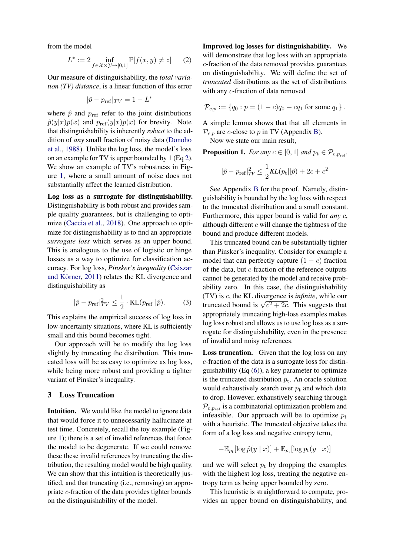from the model

<span id="page-3-0"></span>
$$
L^* := 2 \inf_{f \in \mathcal{X} \times \mathcal{Y} \to [0,1]} \mathbb{P}[f(x,y) \neq z] \qquad (2)
$$

Our measure of distinguishability, the *total variation (TV) distance*, is a linear function of this error

$$
|\hat{p} - p_{\text{ref}}|_{TV} = 1 - L^*
$$

where  $\hat{p}$  and  $p_{ref}$  refer to the joint distributions  $\hat{p}(y|x)p(x)$  and  $p_{ref}(y|x)p(x)$  for brevity. Note that distinguishability is inherently *robust* to the addition of *any* small fraction of noisy data [\(Donoho](#page-9-9) [et al.,](#page-9-9) [1988\)](#page-9-9). Unlike the log loss, the model's loss on an example for TV is upper bounded by 1 (Eq [2\)](#page-3-0). We show an example of TV's robustness in Figure [1,](#page-1-2) where a small amount of noise does not substantially affect the learned distribution.

Log loss as a surrogate for distinguishability. Distinguishability is both robust and provides sample quality guarantees, but is challenging to optimize [\(Caccia et al.,](#page-9-6) [2018\)](#page-9-6). One approach to optimize for distinguishability is to find an appropriate *surrogate loss* which serves as an upper bound. This is analogous to the use of logistic or hinge losses as a way to optimize for classification accuracy. For log loss, *Pinsker's inequality* [\(Csiszar](#page-9-10) and Körner, [2011\)](#page-9-10) relates the KL divergence and distinguishability as

$$
|\hat{p} - p_{\text{ref}}|_{TV}^2 \le \frac{1}{2} \cdot \text{KL}(p_{\text{ref}} || \hat{p}). \tag{3}
$$

This explains the empirical success of log loss in low-uncertainty situations, where KL is sufficiently small and this bound becomes tight.

Our approach will be to modify the log loss slightly by truncating the distribution. This truncated loss will be as easy to optimize as log loss, while being more robust and providing a tighter variant of Pinsker's inequality.

## 3 Loss Truncation

Intuition. We would like the model to ignore data that would force it to unnecessarily hallucinate at test time. Concretely, recall the toy example (Figure [1\)](#page-1-2); there is a set of invalid references that force the model to be degenerate. If we could remove these these invalid references by truncating the distribution, the resulting model would be high quality. We can show that this intuition is theoretically justified, and that truncating (i.e., removing) an appropriate c-fraction of the data provides tighter bounds on the distinguishability of the model.

Improved log losses for distinguishability. We will demonstrate that log loss with an appropriate c-fraction of the data removed provides guarantees on distinguishability. We will define the set of *truncated* distributions as the set of distributions with any c-fraction of data removed

$$
\mathcal{P}_{c,p} := \{ q_0 : p = (1-c)q_0 + cq_1 \text{ for some } q_1 \}.
$$

A simple lemma shows that that all elements in  $\mathcal{P}_{c,p}$  are c-close to p in TV (Appendix [B\)](#page-11-0).

Now we state our main result,

**Proposition 1.** *For any*  $c \in [0, 1]$  *and*  $p_t \in \mathcal{P}_{c, p_{ref}}$ *,* 

$$
|\hat{p} - p_{\text{ref}}|_{TV}^2 \le \frac{1}{2}KL(p_{\text{t}}||\hat{p}) + 2c + c^2
$$

See Appendix [B](#page-11-0) for the proof. Namely, distinguishability is bounded by the log loss with respect to the truncated distribution and a small constant. Furthermore, this upper bound is valid for *any* c, although different  $c$  will change the tightness of the bound and produce different models.

This truncated bound can be substantially tighter than Pinsker's inequality. Consider for example a model that can perfectly capture  $(1 - c)$  fraction of the data, but c-fraction of the reference outputs cannot be generated by the model and receive probability zero. In this case, the distinguishability (TV) is c, the KL divergence is *infinite*, while our (1 v) is c, the KL divergence is *injunite*, while our truncated bound is  $\sqrt{c^2 + 2c}$ . This suggests that appropriately truncating high-loss examples makes log loss robust and allows us to use log loss as a surrogate for distinguishability, even in the presence of invalid and noisy references.

Loss truncation. Given that the log loss on any c-fraction of the data is a surrogate loss for distinguishability (Eq [\(6\)](#page-11-1)), a key parameter to optimize is the truncated distribution  $p_t$ . An oracle solution would exhaustively search over  $p_t$  and which data to drop. However, exhaustively searching through  $P_{c,p_{ref}}$  is a combinatorial optimization problem and infeasible. Our approach will be to optimize  $p_t$ with a heuristic. The truncated objective takes the form of a log loss and negative entropy term,

$$
-\mathbb{E}_{p_{\text{t}}}[\log \hat{p}(y \mid x)] + \mathbb{E}_{p_{\text{t}}}[\log p_{\text{t}}(y \mid x)]
$$

and we will select  $p_t$  by dropping the examples with the highest log loss, treating the negative entropy term as being upper bounded by zero.

This heuristic is straightforward to compute, provides an upper bound on distinguishability, and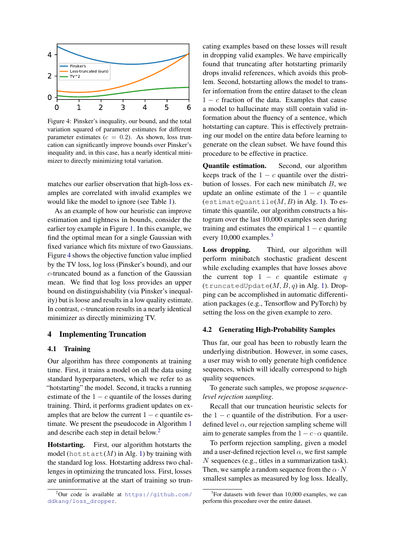<span id="page-4-0"></span>

Figure 4: Pinsker's inequality, our bound, and the total variation squared of parameter estimates for different parameter estimates ( $c = 0.2$ ). As shown, loss truncation can significantly improve bounds over Pinsker's inequality and, in this case, has a nearly identical minimizer to directly minimizing total variation.

matches our earlier observation that high-loss examples are correlated with invalid examples we would like the model to ignore (see Table [1\)](#page-2-1).

As an example of how our heuristic can improve estimation and tightness in bounds, consider the earlier toy example in Figure [1.](#page-1-2) In this example, we find the optimal mean for a single Gaussian with fixed variance which fits mixture of two Gaussians. Figure [4](#page-4-0) shows the objective function value implied by the TV loss, log loss (Pinsker's bound), and our c-truncated bound as a function of the Gaussian mean. We find that log loss provides an upper bound on distinguishability (via Pinsker's inequality) but is loose and results in a low quality estimate. In contrast, c-truncation results in a nearly identical minimizer as directly minimizing TV.

## 4 Implementing Truncation

### 4.1 Training

Our algorithm has three components at training time. First, it trains a model on all the data using standard hyperparameters, which we refer to as "hotstarting" the model. Second, it tracks a running estimate of the  $1 - c$  quantile of the losses during training. Third, it performs gradient updates on examples that are below the current  $1 - c$  quantile estimate. We present the pseudocode in Algorithm [1](#page-5-1) and describe each step in detail below.[2](#page-4-1)

Hotstarting. First, our algorithm hotstarts the model (hot start(M) in Alg. [1\)](#page-5-1) by training with the standard log loss. Hotstarting address two challenges in optimizing the truncated loss. First, losses are uninformative at the start of training so truncating examples based on these losses will result in dropping valid examples. We have empirically found that truncating after hotstarting primarily drops invalid references, which avoids this problem. Second, hotstarting allows the model to transfer information from the entire dataset to the clean  $1 - c$  fraction of the data. Examples that cause a model to hallucinate may still contain valid information about the fluency of a sentence, which hotstarting can capture. This is effectively pretraining our model on the entire data before learning to generate on the clean subset. We have found this procedure to be effective in practice.

Quantile estimation. Second, our algorithm keeps track of the  $1 - c$  quantile over the distribution of losses. For each new minibatch  $B$ , we update an online estimate of the  $1 - c$  quantile (estimateQuantile( $M, B$ ) in Alg. [1\)](#page-5-1). To estimate this quantile, our algorithm constructs a histogram over the last 10,000 examples seen during training and estimates the empirical  $1 - c$  quantile every 10,000 examples.<sup>[3](#page-4-2)</sup>

Loss dropping. Third, our algorithm will perform minibatch stochastic gradient descent while excluding examples that have losses above the current top  $1 - c$  quantile estimate q (truncatedUpdate $(M, B, q)$  in Alg. [1\)](#page-5-1). Dropping can be accomplished in automatic differentiation packages (e.g., Tensorflow and PyTorch) by setting the loss on the given example to zero.

### 4.2 Generating High-Probability Samples

Thus far, our goal has been to robustly learn the underlying distribution. However, in some cases, a user may wish to only generate high confidence sequences, which will ideally correspond to high quality sequences.

To generate such samples, we propose *sequencelevel rejection sampling*.

Recall that our truncation heuristic selects for the  $1 - c$  quantile of the distribution. For a userdefined level  $\alpha$ , our rejection sampling scheme will aim to generate samples from the  $1 - c \cdot \alpha$  quantile.

To perform rejection sampling, given a model and a user-defined rejection level  $\alpha$ , we first sample N sequences (e.g., titles in a summarization task). Then, we sample a random sequence from the  $\alpha \cdot N$ smallest samples as measured by log loss. Ideally,

<span id="page-4-1"></span> $^{2}$ Our code is available at [https://github.com/](https://github.com/ddkang/loss_dropper) [ddkang/loss\\_dropper](https://github.com/ddkang/loss_dropper).

<span id="page-4-2"></span><sup>&</sup>lt;sup>3</sup>For datasets with fewer than 10,000 examples, we can perform this procedure over the entire dataset.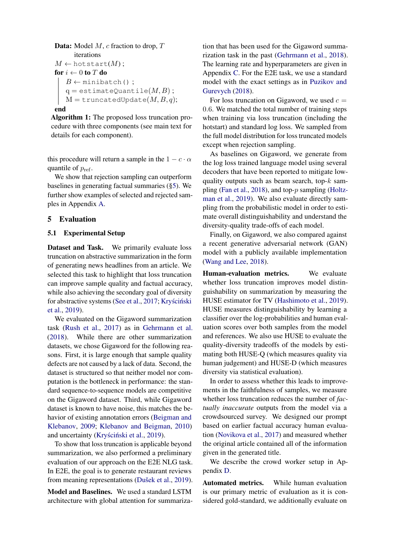```
Data: Model M, c fraction to drop, Titerations
M \leftarrow \text{hotstart}(M);for i \leftarrow 0 to T do
   B \leftarrow minibatch();
   q = estimateQuantile(M, B);
   M =truncatedUpdate(M, B, q);
```
#### end

<span id="page-5-1"></span>Algorithm 1: The proposed loss truncation procedure with three components (see main text for details for each component).

this procedure will return a sample in the  $1 - c \cdot \alpha$ quantile of  $p_{ref}$ .

We show that rejection sampling can outperform baselines in generating factual summaries ([§5\)](#page-5-0). We further show examples of selected and rejected samples in Appendix [A.](#page-11-2)

# <span id="page-5-0"></span>5 Evaluation

#### 5.1 Experimental Setup

Dataset and Task. We primarily evaluate loss truncation on abstractive summarization in the form of generating news headlines from an article. We selected this task to highlight that loss truncation can improve sample quality and factual accuracy, while also achieving the secondary goal of diversity for abstractive systems [\(See et al.,](#page-10-7) [2017;](#page-10-7) Kryściński [et al.,](#page-9-7) [2019\)](#page-9-7).

We evaluated on the Gigaword summarization task [\(Rush et al.,](#page-10-6) [2017\)](#page-10-6) as in [Gehrmann et al.](#page-9-11) [\(2018\)](#page-9-11). While there are other summarization datasets, we chose Gigaword for the following reasons. First, it is large enough that sample quality defects are not caused by a lack of data. Second, the dataset is structured so that neither model nor computation is the bottleneck in performance: the standard sequence-to-sequence models are competitive on the Gigaword dataset. Third, while Gigaword dataset is known to have noise, this matches the behavior of existing annotation errors [\(Beigman and](#page-9-12) [Klebanov,](#page-9-12) [2009;](#page-9-12) [Klebanov and Beigman,](#page-9-13) [2010\)](#page-9-13) and uncertainty (Kryściński et al., [2019\)](#page-9-7).

To show that loss truncation is applicable beyond summarization, we also performed a preliminary evaluation of our approach on the E2E NLG task. In E2E, the goal is to generate restaurant reviews from meaning representations (Dušek et al., [2019\)](#page-9-14).

Model and Baselines. We used a standard LSTM architecture with global attention for summariza-

tion that has been used for the Gigaword summarization task in the past [\(Gehrmann et al.,](#page-9-11) [2018\)](#page-9-11). The learning rate and hyperparameters are given in Appendix [C.](#page-11-3) For the E2E task, we use a standard model with the exact settings as in [Puzikov and](#page-10-10) [Gurevych](#page-10-10) [\(2018\)](#page-10-10).

For loss truncation on Gigaword, we used  $c =$ 0.6. We matched the total number of training steps when training via loss truncation (including the hotstart) and standard log loss. We sampled from the full model distribution for loss truncated models except when rejection sampling.

As baselines on Gigaword, we generate from the log loss trained language model using several decoders that have been reported to mitigate lowquality outputs such as beam search, top- $k$  sampling [\(Fan et al.,](#page-9-2) [2018\)](#page-9-2), and top-p sampling [\(Holtz](#page-9-3)[man et al.,](#page-9-3) [2019\)](#page-9-3). We also evaluate directly sampling from the probabilistic model in order to estimate overall distinguishability and understand the diversity-quality trade-offs of each model.

Finally, on Gigaword, we also compared against a recent generative adversarial network (GAN) model with a publicly available implementation [\(Wang and Lee,](#page-10-11) [2018\)](#page-10-11).

Human-evaluation metrics. We evaluate whether loss truncation improves model distinguishability on summarization by measuring the HUSE estimator for TV [\(Hashimoto et al.,](#page-9-4) [2019\)](#page-9-4). HUSE measures distinguishability by learning a classifier over the log-probabilities and human evaluation scores over both samples from the model and references. We also use HUSE to evaluate the quality-diversity tradeoffs of the models by estimating both HUSE-Q (which measures quality via human judgement) and HUSE-D (which measures diversity via statistical evaluation).

In order to assess whether this leads to improvements in the faithfulness of samples, we measure whether loss truncation reduces the number of *factually inaccurate* outputs from the model via a crowdsourced survey. We designed our prompt based on earlier factual accuracy human evaluation [\(Novikova et al.,](#page-10-12) [2017\)](#page-10-12) and measured whether the original article contained all of the information given in the generated title.

We describe the crowd worker setup in Appendix [D.](#page-12-0)

Automated metrics. While human evaluation is our primary metric of evaluation as it is considered gold-standard, we additionally evaluate on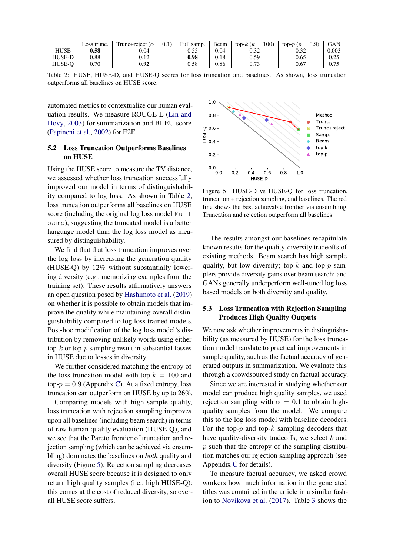<span id="page-6-0"></span>

|             | Loss trunc. | Trunc+reject ( $\alpha = 0.1$ ) | $\overline{\phantom{a}}$ Full samp. | Beam 1 | top- $k (k = 100)$ | $\log p(p = 0.9)$ | <b>GAN</b> |
|-------------|-------------|---------------------------------|-------------------------------------|--------|--------------------|-------------------|------------|
| <b>HUSE</b> | 0.58        | 0.04                            | 0.55                                | 0.04   | 0.32               | 0.32              | 0.003      |
| HUSE-D      | 0.88        | 0.12                            | 0.98                                | 0.18   | 0.59               | 0.65              | 0.25       |
| HUSE-O      | 0.70        | 0.92                            | 0.58                                | 0.86   | 0.73               | 0.67              | 0.75       |

Table 2: HUSE, HUSE-D, and HUSE-Q scores for loss truncation and baselines. As shown, loss truncation outperforms all baselines on HUSE score.

automated metrics to contextualize our human evaluation results. We measure ROUGE-L [\(Lin and](#page-10-13) [Hovy,](#page-10-13) [2003\)](#page-10-13) for summarization and BLEU score [\(Papineni et al.,](#page-10-14) [2002\)](#page-10-14) for E2E.

# 5.2 Loss Truncation Outperforms Baselines on HUSE

Using the HUSE score to measure the TV distance, we assessed whether loss truncation successfully improved our model in terms of distinguishability compared to log loss. As shown in Table [2,](#page-6-0) loss truncation outperforms all baselines on HUSE score (including the original log loss model Full samp), suggesting the truncated model is a better language model than the log loss model as measured by distinguishability.

We find that that loss truncation improves over the log loss by increasing the generation quality (HUSE-Q) by 12% without substantially lowering diversity (e.g., memorizing examples from the training set). These results affirmatively answers an open question posed by [Hashimoto et al.](#page-9-4) [\(2019\)](#page-9-4) on whether it is possible to obtain models that improve the quality while maintaining overall distinguishability compared to log loss trained models. Post-hoc modification of the log loss model's distribution by removing unlikely words using either top- $k$  or top- $p$  sampling result in substantial losses in HUSE due to losses in diversity.

We further considered matching the entropy of the loss truncation model with top- $k = 100$  and top- $p = 0.9$  (Appendix [C\)](#page-11-3). At a fixed entropy, loss truncation can outperform on HUSE by up to 26%.

Comparing models with high sample quality, loss truncation with rejection sampling improves upon all baselines (including beam search) in terms of raw human quality evaluation (HUSE-Q), and we see that the Pareto frontier of truncation and rejection sampling (which can be achieved via ensembling) dominates the baselines on *both* quality and diversity (Figure [5\)](#page-6-1). Rejection sampling decreases overall HUSE score because it is designed to only return high quality samples (i.e., high HUSE-Q): this comes at the cost of reduced diversity, so overall HUSE score suffers.

<span id="page-6-1"></span>

Figure 5: HUSE-D vs HUSE-Q for loss truncation, truncation + rejection sampling, and baselines. The red line shows the best achievable frontier via ensembling. Truncation and rejection outperform all baselines.

The results amongst our baselines recapitulate known results for the quality-diversity tradeoffs of existing methods. Beam search has high sample quality, but low diversity; top- $k$  and top- $p$  samplers provide diversity gains over beam search; and GANs generally underperform well-tuned log loss based models on both diversity and quality.

### 5.3 Loss Truncation with Rejection Sampling Produces High Quality Outputs

We now ask whether improvements in distinguishability (as measured by HUSE) for the loss truncation model translate to practical improvements in sample quality, such as the factual accuracy of generated outputs in summarization. We evaluate this through a crowdsourced study on factual accuracy.

Since we are interested in studying whether our model can produce high quality samples, we used rejection sampling with  $\alpha = 0.1$  to obtain highquality samples from the model. We compare this to the log loss model with baseline decoders. For the top- $p$  and top- $k$  sampling decoders that have quality-diversity tradeoffs, we select  $k$  and  $p$  such that the entropy of the sampling distribution matches our rejection sampling approach (see Appendix [C](#page-11-3) for details).

To measure factual accuracy, we asked crowd workers how much information in the generated titles was contained in the article in a similar fashion to [Novikova et al.](#page-10-12) [\(2017\)](#page-10-12). Table [3](#page-7-1) shows the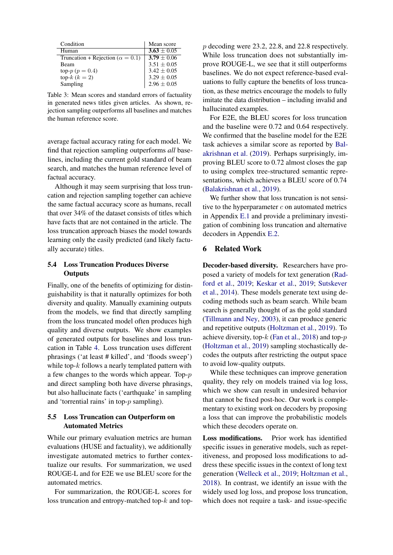<span id="page-7-1"></span>

| Condition                                 | Mean score      |
|-------------------------------------------|-----------------|
| Human                                     | $3.63 \pm 0.05$ |
| Truncation + Rejection ( $\alpha = 0.1$ ) | $3.79 + 0.06$   |
| Beam                                      | $3.51 + 0.05$   |
| top- $p (p = 0.4)$                        | $3.42 \pm 0.05$ |
| top- $k (k = 2)$                          | $3.29 \pm 0.05$ |
| Sampling                                  | $2.96 \pm 0.05$ |

Table 3: Mean scores and standard errors of factuality in generated news titles given articles. As shown, rejection sampling outperforms all baselines and matches the human reference score.

average factual accuracy rating for each model. We find that rejection sampling outperforms *all* baselines, including the current gold standard of beam search, and matches the human reference level of factual accuracy.

Although it may seem surprising that loss truncation and rejection sampling together can achieve the same factual accuracy score as humans, recall that over 34% of the dataset consists of titles which have facts that are not contained in the article. The loss truncation approach biases the model towards learning only the easily predicted (and likely factually accurate) titles.

# 5.4 Loss Truncation Produces Diverse **Outputs**

Finally, one of the benefits of optimizing for distinguishability is that it naturally optimizes for both diversity and quality. Manually examining outputs from the models, we find that directly sampling from the loss truncated model often produces high quality and diverse outputs. We show examples of generated outputs for baselines and loss truncation in Table [4.](#page-8-0) Loss truncation uses different phrasings ('at least # killed', and 'floods sweep') while top- $k$  follows a nearly templated pattern with a few changes to the words which appear. Top-p and direct sampling both have diverse phrasings, but also hallucinate facts ('earthquake' in sampling and 'torrential rains' in top-p sampling).

# 5.5 Loss Truncation can Outperform on Automated Metrics

While our primary evaluation metrics are human evaluations (HUSE and factuality), we additionally investigate automated metrics to further contextualize our results. For summarization, we used ROUGE-L and for E2E we use BLEU score for the automated metrics.

For summarization, the ROUGE-L scores for loss truncation and entropy-matched top- $k$  and top-

p decoding were 23.2, 22.8, and 22.8 respectively. While loss truncation does not substantially improve ROUGE-L, we see that it still outperforms baselines. We do not expect reference-based evaluations to fully capture the benefits of loss truncation, as these metrics encourage the models to fully imitate the data distribution – including invalid and hallucinated examples.

For E2E, the BLEU scores for loss truncation and the baseline were 0.72 and 0.64 respectively. We confirmed that the baseline model for the E2E task achieves a similar score as reported by [Bal](#page-9-15)[akrishnan et al.](#page-9-15) [\(2019\)](#page-9-15). Perhaps surprisingly, improving BLEU score to 0.72 almost closes the gap to using complex tree-structured semantic representations, which achieves a BLEU score of 0.74 [\(Balakrishnan et al.,](#page-9-15) [2019\)](#page-9-15).

We further show that loss truncation is not sensitive to the hyperparameter  $c$  on automated metrics in Appendix [E.1](#page-12-1) and provide a preliminary investigation of combining loss truncation and alternative decoders in Appendix [E.2.](#page-12-2)

## <span id="page-7-0"></span>6 Related Work

Decoder-based diversity. Researchers have proposed a variety of models for text generation [\(Rad](#page-10-15)[ford et al.,](#page-10-15) [2019;](#page-10-15) [Keskar et al.,](#page-9-16) [2019;](#page-9-16) [Sutskever](#page-10-16) [et al.,](#page-10-16) [2014\)](#page-10-16). These models generate text using decoding methods such as beam search. While beam search is generally thought of as the gold standard [\(Tillmann and Ney,](#page-10-17) [2003\)](#page-10-17), it can produce generic and repetitive outputs [\(Holtzman et al.,](#page-9-3) [2019\)](#page-9-3). To achieve diversity, top- $k$  [\(Fan et al.,](#page-9-2) [2018\)](#page-9-2) and top- $p$ [\(Holtzman et al.,](#page-9-3) [2019\)](#page-9-3) sampling stochastically decodes the outputs after restricting the output space to avoid low-quality outputs.

While these techniques can improve generation quality, they rely on models trained via log loss, which we show can result in undesired behavior that cannot be fixed post-hoc. Our work is complementary to existing work on decoders by proposing a loss that can improve the probabilistic models which these decoders operate on.

Loss modifications. Prior work has identified specific issues in generative models, such as repetitiveness, and proposed loss modifications to address these specific issues in the context of long text generation [\(Welleck et al.,](#page-10-18) [2019;](#page-10-18) [Holtzman et al.,](#page-9-17) [2018\)](#page-9-17). In contrast, we identify an issue with the widely used log loss, and propose loss truncation, which does not require a task- and issue-specific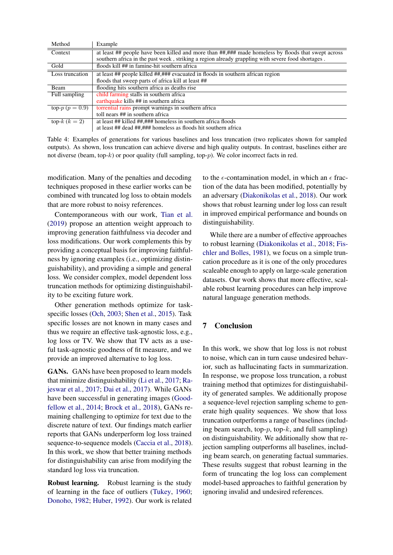<span id="page-8-0"></span>

| Method                         | Example                                                                                            |
|--------------------------------|----------------------------------------------------------------------------------------------------|
| Context                        | at least ## people have been killed and more than ##,### made homeless by floods that swept across |
|                                | southern africa in the past week, striking a region already grappling with severe food shortages.  |
| Gold                           | floods kill ## in famine-hit southern africa                                                       |
| Loss truncation                | at least ## people killed ##,### evacuated in floods in southern african region                    |
|                                | floods that sweep parts of africa kill at least ##                                                 |
| Beam                           | flooding hits southern africa as deaths rise                                                       |
| Full sampling                  | child farming stalls in southern africa                                                            |
|                                | earthquake kills ## in southern africa                                                             |
| top- $p (p = 0.9)$             | torrential rains prompt warnings in southern africa                                                |
|                                | toll nears ## in southern africa                                                                   |
| $\overline{\text{top-}k(k=2)}$ | at least ## killed ##,### homeless in southern africa floods                                       |
|                                | at least ## dead ##,### homeless as floods hit southern africa                                     |

Table 4: Examples of generations for various baselines and loss truncation (two replicates shown for sampled outputs). As shown, loss truncation can achieve diverse and high quality outputs. In contrast, baselines either are not diverse (beam, top- $k$ ) or poor quality (full sampling, top- $p$ ). We color incorrect facts in red.

modification. Many of the penalties and decoding techniques proposed in these earlier works can be combined with truncated log loss to obtain models that are more robust to noisy references.

Contemporaneous with our work, [Tian et al.](#page-10-4) [\(2019\)](#page-10-4) propose an attention weight approach to improving generation faithfulness via decoder and loss modifications. Our work complements this by providing a conceptual basis for improving faithfulness by ignoring examples (i.e., optimizing distinguishability), and providing a simple and general loss. We consider complex, model dependent loss truncation methods for optimizing distinguishability to be exciting future work.

Other generation methods optimize for taskspecific losses [\(Och,](#page-10-19) [2003;](#page-10-19) [Shen et al.,](#page-10-20) [2015\)](#page-10-20). Task specific losses are not known in many cases and thus we require an effective task-agnostic loss, e.g., log loss or TV. We show that TV acts as a useful task-agnostic goodness of fit measure, and we provide an improved alternative to log loss.

GANs. GANs have been proposed to learn models that minimize distinguishability [\(Li et al.,](#page-10-21) [2017;](#page-10-21) [Ra](#page-10-22)[jeswar et al.,](#page-10-22) [2017;](#page-10-22) [Dai et al.,](#page-9-18) [2017\)](#page-9-18). While GANs have been successful in generating images [\(Good](#page-9-19)[fellow et al.,](#page-9-19) [2014;](#page-9-19) [Brock et al.,](#page-9-20) [2018\)](#page-9-20), GANs remaining challenging to optimize for text due to the discrete nature of text. Our findings match earlier reports that GANs underperform log loss trained sequence-to-sequence models [\(Caccia et al.,](#page-9-6) [2018\)](#page-9-6). In this work, we show that better training methods for distinguishability can arise from modifying the standard log loss via truncation.

Robust learning. Robust learning is the study of learning in the face of outliers [\(Tukey,](#page-10-23) [1960;](#page-10-23) [Donoho,](#page-9-21) [1982;](#page-9-21) [Huber,](#page-9-22) [1992\)](#page-9-22). Our work is related to the  $\epsilon$ -contamination model, in which an  $\epsilon$  fraction of the data has been modified, potentially by an adversary [\(Diakonikolas et al.,](#page-9-23) [2018\)](#page-9-23). Our work shows that robust learning under log loss can result in improved empirical performance and bounds on distinguishability.

While there are a number of effective approaches to robust learning [\(Diakonikolas et al.,](#page-9-23) [2018;](#page-9-23) [Fis](#page-9-24)[chler and Bolles,](#page-9-24) [1981\)](#page-9-24), we focus on a simple truncation procedure as it is one of the only procedures scaleable enough to apply on large-scale generation datasets. Our work shows that more effective, scalable robust learning procedures can help improve natural language generation methods.

# 7 Conclusion

In this work, we show that log loss is not robust to noise, which can in turn cause undesired behavior, such as hallucinating facts in summarization. In response, we propose loss truncation, a robust training method that optimizes for distinguishability of generated samples. We additionally propose a sequence-level rejection sampling scheme to generate high quality sequences. We show that loss truncation outperforms a range of baselines (including beam search, top- $p$ , top- $k$ , and full sampling) on distinguishability. We additionally show that rejection sampling outperforms all baselines, including beam search, on generating factual summaries. These results suggest that robust learning in the form of truncating the log loss can complement model-based approaches to faithful generation by ignoring invalid and undesired references.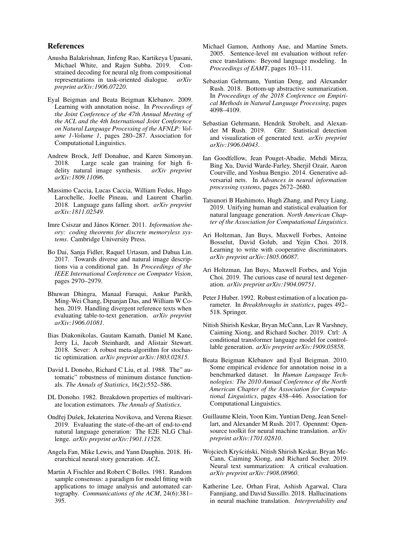#### References

- <span id="page-9-15"></span>Anusha Balakrishnan, Jinfeng Rao, Kartikeya Upasani, Michael White, and Rajen Subba. 2019. Constrained decoding for neural nlg from compositional representations in task-oriented dialogue. *arXiv preprint arXiv:1906.07220*.
- <span id="page-9-12"></span>Eyal Beigman and Beata Beigman Klebanov. 2009. Learning with annotation noise. In *Proceedings of the Joint Conference of the 47th Annual Meeting of the ACL and the 4th International Joint Conference on Natural Language Processing of the AFNLP: Volume 1-Volume 1*, pages 280–287. Association for Computational Linguistics.
- <span id="page-9-20"></span>Andrew Brock, Jeff Donahue, and Karen Simonyan.<br>2018. Large scale gan training for high fi-Large scale gan training for high fidelity natural image synthesis. *arXiv preprint arXiv:1809.11096*.
- <span id="page-9-6"></span>Massimo Caccia, Lucas Caccia, William Fedus, Hugo Larochelle, Joelle Pineau, and Laurent Charlin. 2018. Language gans falling short. *arXiv preprint arXiv:1811.02549*.
- <span id="page-9-10"></span>Imre Csiszar and János Körner. 2011. *Information theory: coding theorems for discrete memoryless systems*. Cambridge University Press.
- <span id="page-9-18"></span>Bo Dai, Sanja Fidler, Raquel Urtasun, and Dahua Lin. 2017. Towards diverse and natural image descriptions via a conditional gan. In *Proceedings of the IEEE International Conference on Computer Vision*, pages 2970–2979.
- <span id="page-9-0"></span>Bhuwan Dhingra, Manaal Faruqui, Ankur Parikh, Ming-Wei Chang, Dipanjan Das, and William W Cohen. 2019. Handling divergent reference texts when evaluating table-to-text generation. *arXiv preprint arXiv:1906.01081*.
- <span id="page-9-23"></span>Ilias Diakonikolas, Gautam Kamath, Daniel M Kane, Jerry Li, Jacob Steinhardt, and Alistair Stewart. 2018. Sever: A robust meta-algorithm for stochastic optimization. *arXiv preprint arXiv:1803.02815*.
- <span id="page-9-9"></span>David L Donoho, Richard C Liu, et al. 1988. The" automatic" robustness of minimum distance functionals. *The Annals of Statistics*, 16(2):552–586.
- <span id="page-9-21"></span>DL Donoho. 1982. Breakdown properties of multivariate location estimators. *The Annals of Statistics*.
- <span id="page-9-14"></span>Ondřej Dušek, Jekaterina Novikova, and Verena Rieser. 2019. Evaluating the state-of-the-art of end-to-end natural language generation: The E2E NLG Challenge. *arXiv preprint arXiv:1901.11528*.
- <span id="page-9-2"></span>Angela Fan, Mike Lewis, and Yann Dauphin. 2018. Hierarchical neural story generation. *ACL*.
- <span id="page-9-24"></span>Martin A Fischler and Robert C Bolles. 1981. Random sample consensus: a paradigm for model fitting with applications to image analysis and automated cartography. *Communications of the ACM*, 24(6):381– 395.
- <span id="page-9-5"></span>Michael Gamon, Anthony Aue, and Martine Smets. 2005. Sentence-level mt evaluation without reference translations: Beyond language modeling. In *Proceedings of EAMT*, pages 103–111.
- <span id="page-9-11"></span>Sebastian Gehrmann, Yuntian Deng, and Alexander Rush. 2018. Bottom-up abstractive summarization. In *Proceedings of the 2018 Conference on Empirical Methods in Natural Language Processing*, pages 4098–4109.
- <span id="page-9-8"></span>Sebastian Gehrmann, Hendrik Strobelt, and Alexander M Rush. 2019. Gltr: Statistical detection and visualization of generated text. *arXiv preprint arXiv:1906.04043*.
- <span id="page-9-19"></span>Ian Goodfellow, Jean Pouget-Abadie, Mehdi Mirza, Bing Xu, David Warde-Farley, Sherjil Ozair, Aaron Courville, and Yoshua Bengio. 2014. Generative adversarial nets. In *Advances in neural information processing systems*, pages 2672–2680.
- <span id="page-9-4"></span>Tatsunori B Hashimoto, Hugh Zhang, and Percy Liang. 2019. Unifying human and statistical evaluation for natural language generation. *North American Chapter of the Association for Computational Linguistics*.
- <span id="page-9-17"></span>Ari Holtzman, Jan Buys, Maxwell Forbes, Antoine Bosselut, David Golub, and Yejin Choi. 2018. Learning to write with cooperative discriminators. *arXiv preprint arXiv:1805.06087*.
- <span id="page-9-3"></span>Ari Holtzman, Jan Buys, Maxwell Forbes, and Yejin Choi. 2019. The curious case of neural text degeneration. *arXiv preprint arXiv:1904.09751*.
- <span id="page-9-22"></span>Peter J Huber. 1992. Robust estimation of a location parameter. In *Breakthroughs in statistics*, pages 492– 518. Springer.
- <span id="page-9-16"></span>Nitish Shirish Keskar, Bryan McCann, Lav R Varshney, Caiming Xiong, and Richard Socher. 2019. Ctrl: A conditional transformer language model for controllable generation. *arXiv preprint arXiv:1909.05858*.
- <span id="page-9-13"></span>Beata Beigman Klebanov and Eyal Beigman. 2010. Some empirical evidence for annotation noise in a benchmarked dataset. In *Human Language Technologies: The 2010 Annual Conference of the North American Chapter of the Association for Computational Linguistics*, pages 438–446. Association for Computational Linguistics.
- <span id="page-9-25"></span>Guillaume Klein, Yoon Kim, Yuntian Deng, Jean Senellart, and Alexander M Rush. 2017. Opennmt: Opensource toolkit for neural machine translation. *arXiv preprint arXiv:1701.02810*.
- <span id="page-9-7"></span>Wojciech Kryściński, Nitish Shirish Keskar, Bryan Mc-Cann, Caiming Xiong, and Richard Socher. 2019. Neural text summarization: A critical evaluation. *arXiv preprint arXiv:1908.08960*.
- <span id="page-9-1"></span>Katherine Lee, Orhan Firat, Ashish Agarwal, Clara Fannjiang, and David Sussillo. 2018. Hallucinations in neural machine translation. *Interpretability and*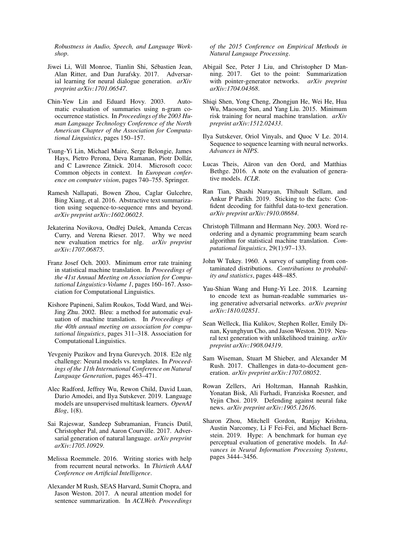*Robustness in Audio, Speech, and Language Workshop*.

- <span id="page-10-21"></span>Jiwei Li, Will Monroe, Tianlin Shi, Sebastien Jean, ´ Alan Ritter, and Dan Jurafsky. 2017. Adversarial learning for neural dialogue generation. *arXiv preprint arXiv:1701.06547*.
- <span id="page-10-13"></span>Chin-Yew Lin and Eduard Hovy. 2003. Automatic evaluation of summaries using n-gram cooccurrence statistics. In *Proceedings of the 2003 Human Language Technology Conference of the North American Chapter of the Association for Computational Linguistics*, pages 150–157.
- <span id="page-10-1"></span>Tsung-Yi Lin, Michael Maire, Serge Belongie, James Hays, Pietro Perona, Deva Ramanan, Piotr Dollár, and C Lawrence Zitnick. 2014. Microsoft coco: Common objects in context. In *European conference on computer vision*, pages 740–755. Springer.
- <span id="page-10-0"></span>Ramesh Nallapati, Bowen Zhou, Caglar Gulcehre, Bing Xiang, et al. 2016. Abstractive text summarization using sequence-to-sequence rnns and beyond. *arXiv preprint arXiv:1602.06023*.
- <span id="page-10-12"></span>Jekaterina Novikova, Ondřej Dušek, Amanda Cercas Curry, and Verena Rieser. 2017. Why we need new evaluation metrics for nlg. *arXiv preprint arXiv:1707.06875*.
- <span id="page-10-19"></span>Franz Josef Och. 2003. Minimum error rate training in statistical machine translation. In *Proceedings of the 41st Annual Meeting on Association for Computational Linguistics-Volume 1*, pages 160–167. Association for Computational Linguistics.
- <span id="page-10-14"></span>Kishore Papineni, Salim Roukos, Todd Ward, and Wei-Jing Zhu. 2002. Bleu: a method for automatic evaluation of machine translation. In *Proceedings of the 40th annual meeting on association for computational linguistics*, pages 311–318. Association for Computational Linguistics.
- <span id="page-10-10"></span>Yevgeniy Puzikov and Iryna Gurevych. 2018. E2e nlg challenge: Neural models vs. templates. In *Proceedings of the 11th International Conference on Natural Language Generation*, pages 463–471.
- <span id="page-10-15"></span>Alec Radford, Jeffrey Wu, Rewon Child, David Luan, Dario Amodei, and Ilya Sutskever. 2019. Language models are unsupervised multitask learners. *OpenAI Blog*, 1(8).
- <span id="page-10-22"></span>Sai Rajeswar, Sandeep Subramanian, Francis Dutil, Christopher Pal, and Aaron Courville. 2017. Adversarial generation of natural language. *arXiv preprint arXiv:1705.10929*.
- <span id="page-10-2"></span>Melissa Roemmele. 2016. Writing stories with help from recurrent neural networks. In *Thirtieth AAAI Conference on Artificial Intelligence*.
- <span id="page-10-6"></span>Alexander M Rush, SEAS Harvard, Sumit Chopra, and Jason Weston. 2017. A neural attention model for sentence summarization. In *ACLWeb. Proceedings*

*of the 2015 Conference on Empirical Methods in Natural Language Processing*.

- <span id="page-10-7"></span>Abigail See, Peter J Liu, and Christopher D Manning. 2017. Get to the point: Summarization with pointer-generator networks. *arXiv preprint arXiv:1704.04368*.
- <span id="page-10-20"></span>Shiqi Shen, Yong Cheng, Zhongjun He, Wei He, Hua Wu, Maosong Sun, and Yang Liu. 2015. Minimum risk training for neural machine translation. *arXiv preprint arXiv:1512.02433*.
- <span id="page-10-16"></span>Ilya Sutskever, Oriol Vinyals, and Quoc V Le. 2014. Sequence to sequence learning with neural networks. *Advances in NIPS*.
- <span id="page-10-5"></span>Lucas Theis, Aäron van den Oord, and Matthias Bethge. 2016. A note on the evaluation of generative models. *ICLR*.
- <span id="page-10-4"></span>Ran Tian, Shashi Narayan, Thibault Sellam, and Ankur P Parikh. 2019. Sticking to the facts: Confident decoding for faithful data-to-text generation. *arXiv preprint arXiv:1910.08684*.
- <span id="page-10-17"></span>Christoph Tillmann and Hermann Ney. 2003. Word reordering and a dynamic programming beam search algorithm for statistical machine translation. *Computational linguistics*, 29(1):97–133.
- <span id="page-10-23"></span>John W Tukey. 1960. A survey of sampling from contaminated distributions. *Contributions to probability and statistics*, pages 448–485.
- <span id="page-10-11"></span>Yau-Shian Wang and Hung-Yi Lee. 2018. Learning to encode text as human-readable summaries using generative adversarial networks. *arXiv preprint arXiv:1810.02851*.
- <span id="page-10-18"></span>Sean Welleck, Ilia Kulikov, Stephen Roller, Emily Dinan, Kyunghyun Cho, and Jason Weston. 2019. Neural text generation with unlikelihood training. *arXiv preprint arXiv:1908.04319*.
- <span id="page-10-3"></span>Sam Wiseman, Stuart M Shieber, and Alexander M Rush. 2017. Challenges in data-to-document generation. *arXiv preprint arXiv:1707.08052*.
- <span id="page-10-9"></span>Rowan Zellers, Ari Holtzman, Hannah Rashkin, Yonatan Bisk, Ali Farhadi, Franziska Roesner, and Yejin Choi. 2019. Defending against neural fake news. *arXiv preprint arXiv:1905.12616*.
- <span id="page-10-8"></span>Sharon Zhou, Mitchell Gordon, Ranjay Krishna, Austin Narcomey, Li F Fei-Fei, and Michael Bernstein. 2019. Hype: A benchmark for human eye perceptual evaluation of generative models. In *Advances in Neural Information Processing Systems*, pages 3444–3456.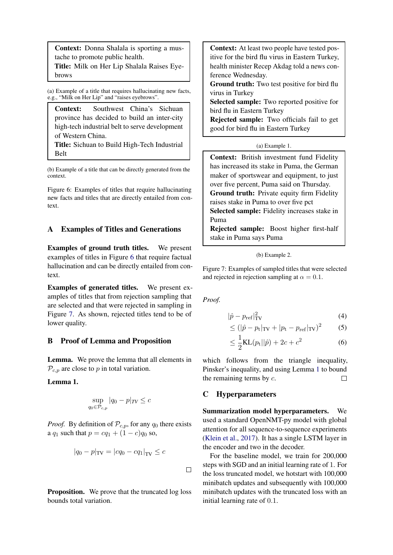<span id="page-11-4"></span>Context: Donna Shalala is sporting a mustache to promote public health.

Title: Milk on Her Lip Shalala Raises Eyebrows

(a) Example of a title that requires hallucinating new facts, e.g., "Milk on Her Lip" and "raises eyebrows".

Context: Southwest China's Sichuan province has decided to build an inter-city high-tech industrial belt to serve development of Western China.

Title: Sichuan to Build High-Tech Industrial Belt

(b) Example of a title that can be directly generated from the context.

Figure 6: Examples of titles that require hallucinating new facts and titles that are directly entailed from context.

## <span id="page-11-2"></span>A Examples of Titles and Generations

Examples of ground truth titles. We present examples of titles in Figure [6](#page-11-4) that require factual hallucination and can be directly entailed from context.

Examples of generated titles. We present examples of titles that from rejection sampling that are selected and that were rejected in sampling in Figure [7.](#page-11-5) As shown, rejected titles tend to be of lower quality.

#### <span id="page-11-0"></span>B Proof of Lemma and Proposition

Lemma. We prove the lemma that all elements in  $\mathcal{P}_{c,p}$  are close to p in total variation.

<span id="page-11-6"></span>Lemma 1.

$$
\sup_{q_0 \in \mathcal{P}_{c,p}} |q_0 - p|_{TV} \le c
$$

*Proof.* By definition of  $P_{c,p}$ , for any  $q_0$  there exists a  $q_1$  such that  $p = cq_1 + (1 - c)q_0$  so,

$$
|q_0 - p|_{\text{TV}} = |cq_0 - cq_1|_{\text{TV}} \le c
$$

**Proposition.** We prove that the truncated log loss bounds total variation.

<span id="page-11-5"></span>Context: At least two people have tested positive for the bird flu virus in Eastern Turkey, health minister Recep Akdag told a news conference Wednesday.

Ground truth: Two test positive for bird flu virus in Turkey

Selected sample: Two reported positive for bird flu in Eastern Turkey

Rejected sample: Two officials fail to get good for bird flu in Eastern Turkey

#### (a) Example 1.

Context: British investment fund Fidelity has increased its stake in Puma, the German maker of sportswear and equipment, to just over five percent, Puma said on Thursday. Ground truth: Private equity firm Fidelity raises stake in Puma to over five pct Selected sample: Fidelity increases stake in Puma Rejected sample: Boost higher first-half

stake in Puma says Puma

#### (b) Example 2.

Figure 7: Examples of sampled titles that were selected and rejected in rejection sampling at  $\alpha = 0.1$ .

*Proof.*

 $\Box$ 

$$
|\hat{p} - p_{\text{ref}}|_{\text{TV}}^2 \tag{4}
$$

$$
\leq (|\hat{p} - p_{\rm t}|_{\rm TV} + |p_{\rm t} - p_{\rm ref}|_{\rm TV})^2 \tag{5}
$$

<span id="page-11-1"></span>
$$
\leq \frac{1}{2}KL(p_t||\hat{p}) + 2c + c^2
$$
 (6)

which follows from the triangle inequality, Pinsker's inequality, and using Lemma [1](#page-11-6) to bound the remaining terms by  $c$ .  $\Box$ 

# <span id="page-11-3"></span>C Hyperparameters

Summarization model hyperparameters. We used a standard OpenNMT-py model with global attention for all sequence-to-sequence experiments [\(Klein et al.,](#page-9-25) [2017\)](#page-9-25). It has a single LSTM layer in the encoder and two in the decoder.

For the baseline model, we train for 200,000 steps with SGD and an initial learning rate of 1. For the loss truncated model, we hotstart with 100,000 minibatch updates and subsequently with 100,000 minibatch updates with the truncated loss with an initial learning rate of 0.1.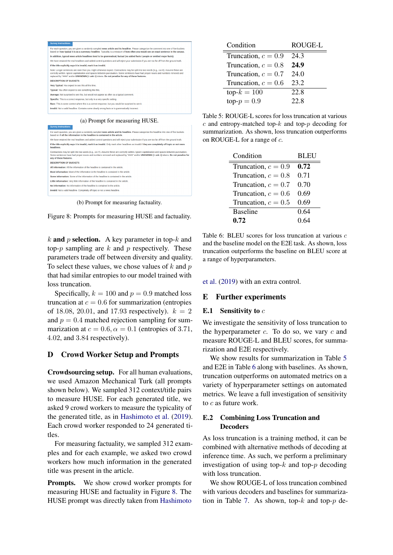<span id="page-12-3"></span>



(b) Prompt for measuring factuality.



k and p selection. A key parameter in top- $k$  and top- $p$  sampling are  $k$  and  $p$  respectively. These parameters trade off between diversity and quality. To select these values, we chose values of  $k$  and  $p$ that had similar entropies to our model trained with loss truncation.

Specifically,  $k = 100$  and  $p = 0.9$  matched loss truncation at  $c = 0.6$  for summarization (entropies of 18.08, 20.01, and 17.93 respectively).  $k = 2$ and  $p = 0.4$  matched rejection sampling for summarization at  $c = 0.6$ ,  $\alpha = 0.1$  (entropies of 3.71, 4.02, and 3.84 respectively).

# <span id="page-12-0"></span>D Crowd Worker Setup and Prompts

Crowdsourcing setup. For all human evaluations, we used Amazon Mechanical Turk (all prompts shown below). We sampled 312 context/title pairs to measure HUSE. For each generated title, we asked 9 crowd workers to measure the typicality of the generated title, as in [Hashimoto et al.](#page-9-4) [\(2019\)](#page-9-4). Each crowd worker responded to 24 generated titles.

For measuring factuality, we sampled 312 examples and for each example, we asked two crowd workers how much information in the generated title was present in the article.

Prompts. We show crowd worker prompts for measuring HUSE and factuality in Figure [8.](#page-12-3) The HUSE prompt was directly taken from [Hashimoto](#page-9-4)

<span id="page-12-4"></span>

| Condition             | ROUGE-L |
|-----------------------|---------|
| Truncation, $c = 0.9$ | 243     |
| Truncation, $c = 0.8$ | 24.9    |
| Truncation, $c = 0.7$ | 24.0    |
| Truncation, $c = 0.6$ | 23.2    |
| $top-k = 100$         | 22.8    |
| top- $p = 0.9$        | 22.8    |

Table 5: ROUGE-L scores for loss truncation at various  $c$  and entropy-matched top- $k$  and top- $p$  decoding for summarization. As shown, loss truncation outperforms on ROUGE-L for a range of c.

<span id="page-12-5"></span>

| Condition             | <b>BLEU</b> |
|-----------------------|-------------|
| Truncation, $c = 0.9$ | 0.72        |
| Truncation, $c = 0.8$ | 0.71        |
| Truncation, $c = 0.7$ | 0.70        |
| Truncation, $c = 0.6$ | 0.69        |
| Truncation, $c = 0.5$ | 0.69        |
| <b>Baseline</b>       | 0.64        |
| 0.72                  | 0.64        |

Table 6: BLEU scores for loss truncation at various c and the baseline model on the E2E task. As shown, loss truncation outperforms the baseline on BLEU score at a range of hyperparameters.

[et al.](#page-9-4) [\(2019\)](#page-9-4) with an extra control.

#### E Further experiments

#### <span id="page-12-1"></span>E.1 Sensitivity to  $c$

We investigate the sensitivity of loss truncation to the hyperparameter  $c$ . To do so, we vary  $c$  and measure ROUGE-L and BLEU scores, for summarization and E2E respectively.

We show results for summarization in Table [5](#page-12-4) and E2E in Table [6](#page-12-5) along with baselines. As shown, truncation outperforms on automated metrics on a variety of hyperparameter settings on automated metrics. We leave a full investigation of sensitivity to  $c$  as future work.

## <span id="page-12-2"></span>E.2 Combining Loss Truncation and **Decoders**

As loss truncation is a training method, it can be combined with alternative methods of decoding at inference time. As such, we perform a preliminary investigation of using top- $k$  and top- $p$  decoding with loss truncation.

We show ROUGE-L of loss truncation combined with various decoders and baselines for summariza-tion in Table [7.](#page-13-0) As shown, top- $k$  and top- $p$  de-